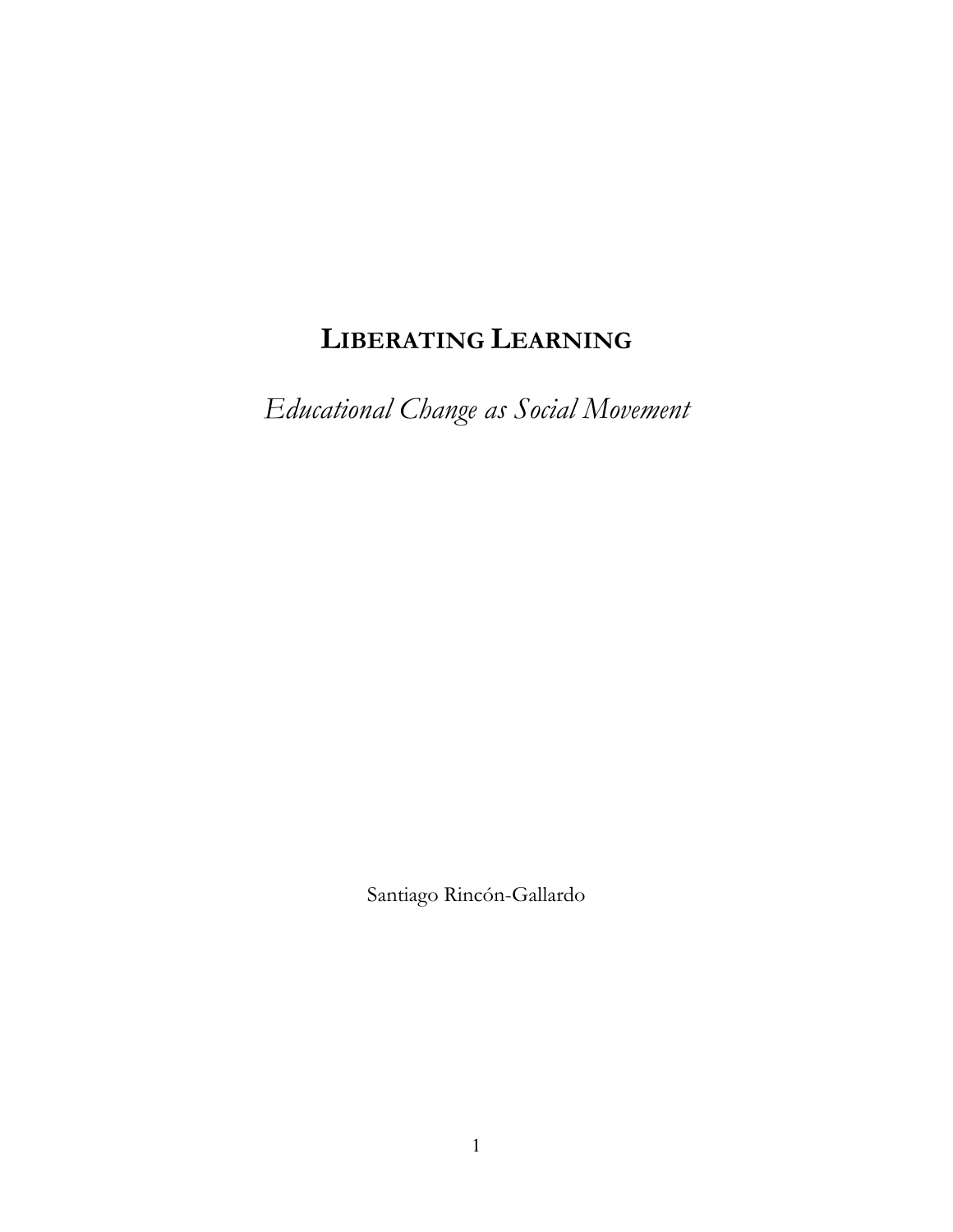# **LIBERATING LEARNING**

*Educational Change as Social Movement*

Santiago Rincón-Gallardo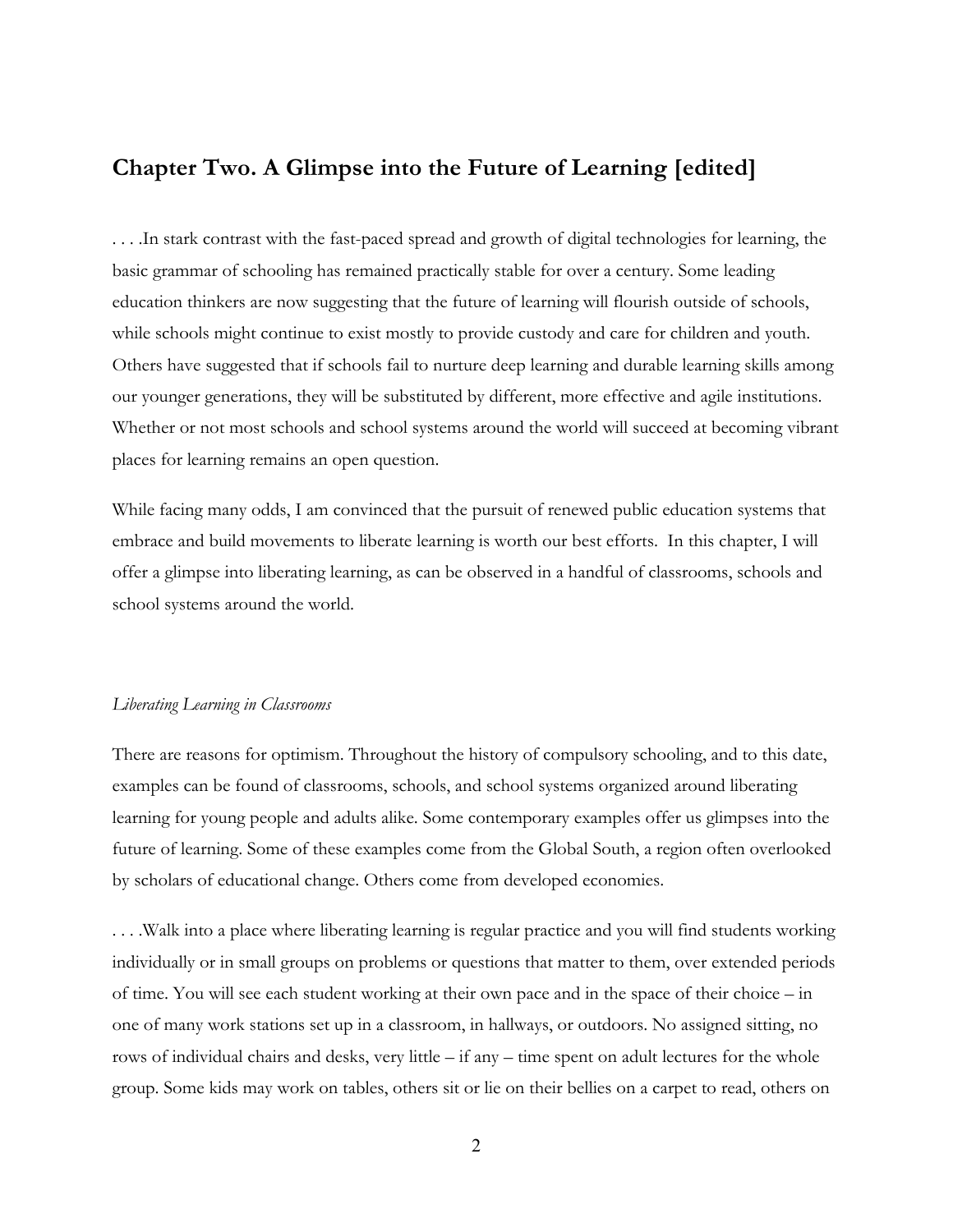## **Chapter Two. A Glimpse into the Future of Learning [edited]**

. . . .In stark contrast with the fast-paced spread and growth of digital technologies for learning, the basic grammar of schooling has remained practically stable for over a century. Some leading education thinkers are now suggesting that the future of learning will flourish outside of schools, while schools might continue to exist mostly to provide custody and care for children and youth. Others have suggested that if schools fail to nurture deep learning and durable learning skills among our younger generations, they will be substituted by different, more effective and agile institutions. Whether or not most schools and school systems around the world will succeed at becoming vibrant places for learning remains an open question.

While facing many odds, I am convinced that the pursuit of renewed public education systems that embrace and build movements to liberate learning is worth our best efforts. In this chapter, I will offer a glimpse into liberating learning, as can be observed in a handful of classrooms, schools and school systems around the world.

#### *Liberating Learning in Classrooms*

There are reasons for optimism. Throughout the history of compulsory schooling, and to this date, examples can be found of classrooms, schools, and school systems organized around liberating learning for young people and adults alike. Some contemporary examples offer us glimpses into the future of learning. Some of these examples come from the Global South, a region often overlooked by scholars of educational change. Others come from developed economies.

. . . .Walk into a place where liberating learning is regular practice and you will find students working individually or in small groups on problems or questions that matter to them, over extended periods of time. You will see each student working at their own pace and in the space of their choice – in one of many work stations set up in a classroom, in hallways, or outdoors. No assigned sitting, no rows of individual chairs and desks, very little – if any – time spent on adult lectures for the whole group. Some kids may work on tables, others sit or lie on their bellies on a carpet to read, others on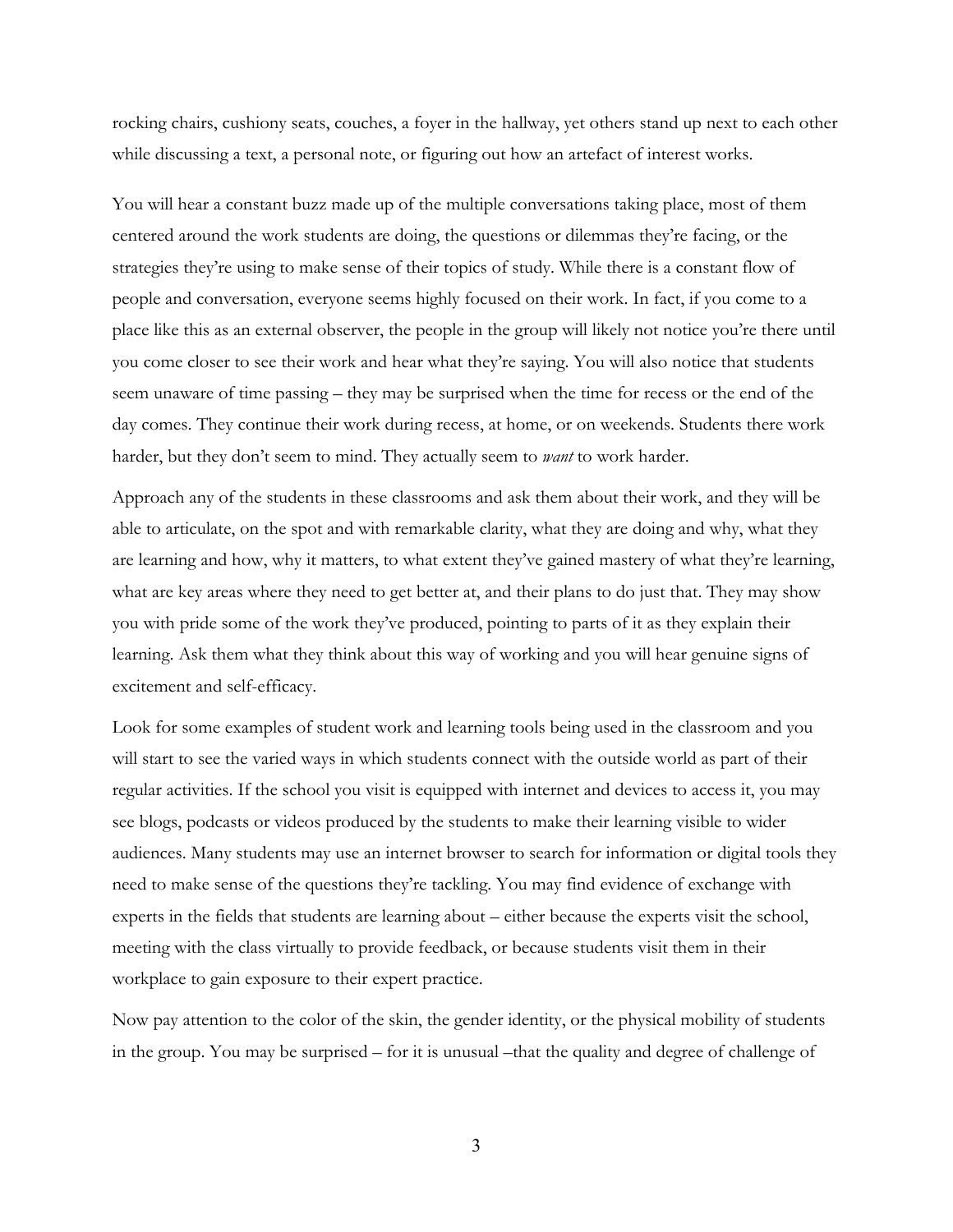rocking chairs, cushiony seats, couches, a foyer in the hallway, yet others stand up next to each other while discussing a text, a personal note, or figuring out how an artefact of interest works.

You will hear a constant buzz made up of the multiple conversations taking place, most of them centered around the work students are doing, the questions or dilemmas they're facing, or the strategies they're using to make sense of their topics of study. While there is a constant flow of people and conversation, everyone seems highly focused on their work. In fact, if you come to a place like this as an external observer, the people in the group will likely not notice you're there until you come closer to see their work and hear what they're saying. You will also notice that students seem unaware of time passing – they may be surprised when the time for recess or the end of the day comes. They continue their work during recess, at home, or on weekends. Students there work harder, but they don't seem to mind. They actually seem to *want* to work harder.

Approach any of the students in these classrooms and ask them about their work, and they will be able to articulate, on the spot and with remarkable clarity, what they are doing and why, what they are learning and how, why it matters, to what extent they've gained mastery of what they're learning, what are key areas where they need to get better at, and their plans to do just that. They may show you with pride some of the work they've produced, pointing to parts of it as they explain their learning. Ask them what they think about this way of working and you will hear genuine signs of excitement and self-efficacy.

Look for some examples of student work and learning tools being used in the classroom and you will start to see the varied ways in which students connect with the outside world as part of their regular activities. If the school you visit is equipped with internet and devices to access it, you may see blogs, podcasts or videos produced by the students to make their learning visible to wider audiences. Many students may use an internet browser to search for information or digital tools they need to make sense of the questions they're tackling. You may find evidence of exchange with experts in the fields that students are learning about – either because the experts visit the school, meeting with the class virtually to provide feedback, or because students visit them in their workplace to gain exposure to their expert practice.

Now pay attention to the color of the skin, the gender identity, or the physical mobility of students in the group. You may be surprised – for it is unusual –that the quality and degree of challenge of

3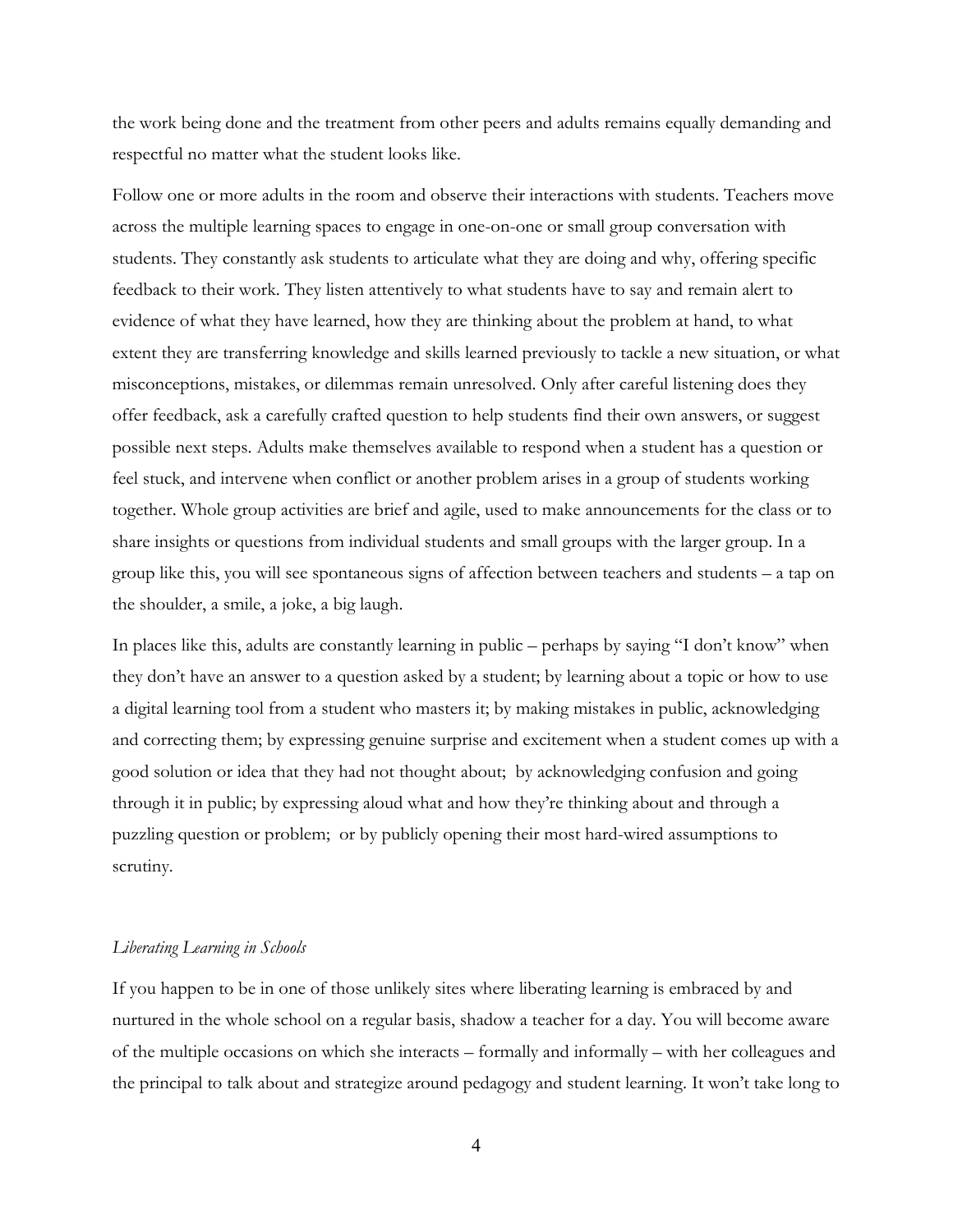the work being done and the treatment from other peers and adults remains equally demanding and respectful no matter what the student looks like.

Follow one or more adults in the room and observe their interactions with students. Teachers move across the multiple learning spaces to engage in one-on-one or small group conversation with students. They constantly ask students to articulate what they are doing and why, offering specific feedback to their work. They listen attentively to what students have to say and remain alert to evidence of what they have learned, how they are thinking about the problem at hand, to what extent they are transferring knowledge and skills learned previously to tackle a new situation, or what misconceptions, mistakes, or dilemmas remain unresolved. Only after careful listening does they offer feedback, ask a carefully crafted question to help students find their own answers, or suggest possible next steps. Adults make themselves available to respond when a student has a question or feel stuck, and intervene when conflict or another problem arises in a group of students working together. Whole group activities are brief and agile, used to make announcements for the class or to share insights or questions from individual students and small groups with the larger group. In a group like this, you will see spontaneous signs of affection between teachers and students – a tap on the shoulder, a smile, a joke, a big laugh.

In places like this, adults are constantly learning in public – perhaps by saying "I don't know" when they don't have an answer to a question asked by a student; by learning about a topic or how to use a digital learning tool from a student who masters it; by making mistakes in public, acknowledging and correcting them; by expressing genuine surprise and excitement when a student comes up with a good solution or idea that they had not thought about; by acknowledging confusion and going through it in public; by expressing aloud what and how they're thinking about and through a puzzling question or problem; or by publicly opening their most hard-wired assumptions to scrutiny.

#### *Liberating Learning in Schools*

If you happen to be in one of those unlikely sites where liberating learning is embraced by and nurtured in the whole school on a regular basis, shadow a teacher for a day. You will become aware of the multiple occasions on which she interacts – formally and informally – with her colleagues and the principal to talk about and strategize around pedagogy and student learning. It won't take long to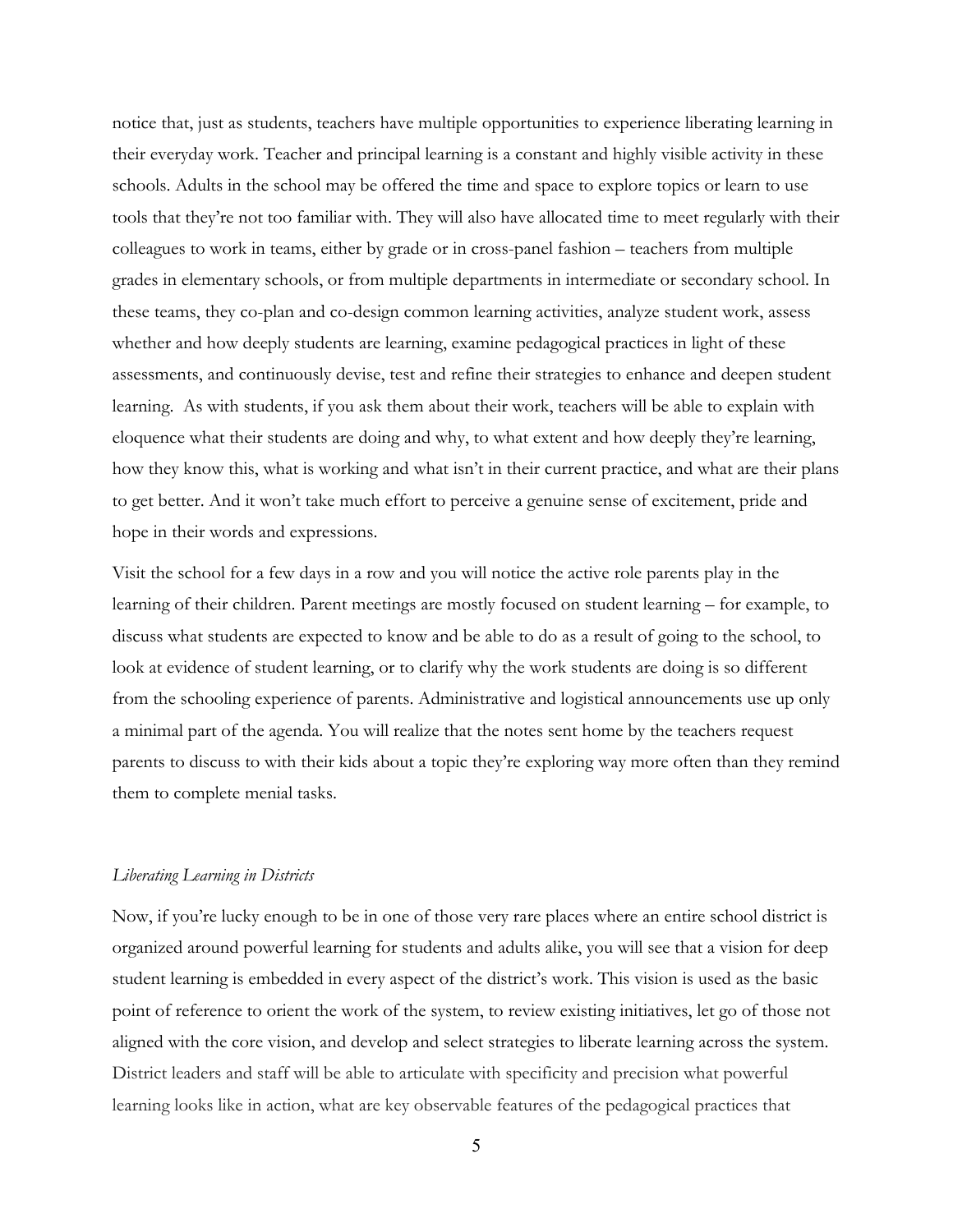notice that, just as students, teachers have multiple opportunities to experience liberating learning in their everyday work. Teacher and principal learning is a constant and highly visible activity in these schools. Adults in the school may be offered the time and space to explore topics or learn to use tools that they're not too familiar with. They will also have allocated time to meet regularly with their colleagues to work in teams, either by grade or in cross-panel fashion – teachers from multiple grades in elementary schools, or from multiple departments in intermediate or secondary school. In these teams, they co-plan and co-design common learning activities, analyze student work, assess whether and how deeply students are learning, examine pedagogical practices in light of these assessments, and continuously devise, test and refine their strategies to enhance and deepen student learning. As with students, if you ask them about their work, teachers will be able to explain with eloquence what their students are doing and why, to what extent and how deeply they're learning, how they know this, what is working and what isn't in their current practice, and what are their plans to get better. And it won't take much effort to perceive a genuine sense of excitement, pride and hope in their words and expressions.

Visit the school for a few days in a row and you will notice the active role parents play in the learning of their children. Parent meetings are mostly focused on student learning – for example, to discuss what students are expected to know and be able to do as a result of going to the school, to look at evidence of student learning, or to clarify why the work students are doing is so different from the schooling experience of parents. Administrative and logistical announcements use up only a minimal part of the agenda. You will realize that the notes sent home by the teachers request parents to discuss to with their kids about a topic they're exploring way more often than they remind them to complete menial tasks.

#### *Liberating Learning in Districts*

Now, if you're lucky enough to be in one of those very rare places where an entire school district is organized around powerful learning for students and adults alike, you will see that a vision for deep student learning is embedded in every aspect of the district's work. This vision is used as the basic point of reference to orient the work of the system, to review existing initiatives, let go of those not aligned with the core vision, and develop and select strategies to liberate learning across the system. District leaders and staff will be able to articulate with specificity and precision what powerful learning looks like in action, what are key observable features of the pedagogical practices that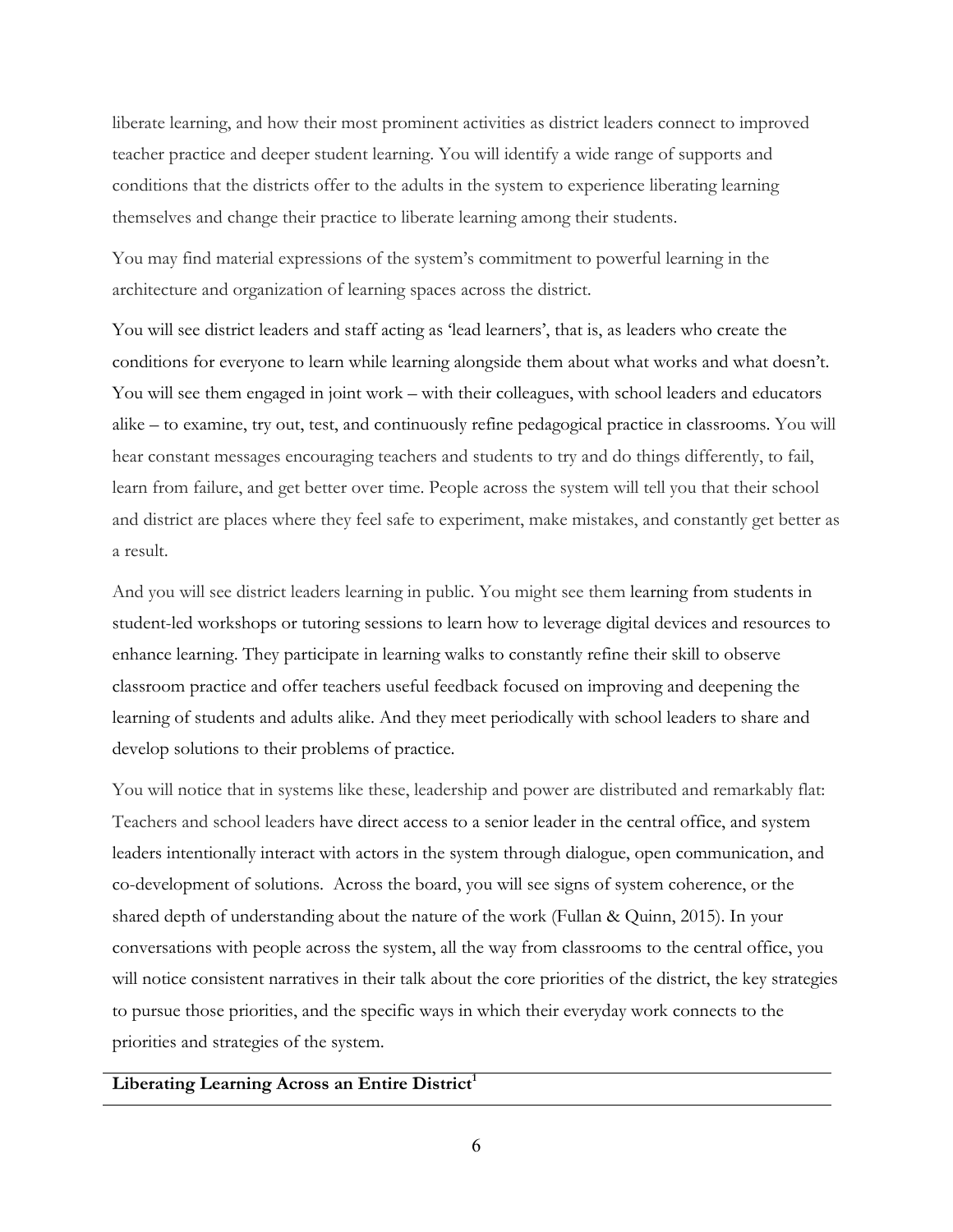liberate learning, and how their most prominent activities as district leaders connect to improved teacher practice and deeper student learning. You will identify a wide range of supports and conditions that the districts offer to the adults in the system to experience liberating learning themselves and change their practice to liberate learning among their students.

You may find material expressions of the system's commitment to powerful learning in the architecture and organization of learning spaces across the district.

You will see district leaders and staff acting as 'lead learners', that is, as leaders who create the conditions for everyone to learn while learning alongside them about what works and what doesn't. You will see them engaged in joint work – with their colleagues, with school leaders and educators alike – to examine, try out, test, and continuously refine pedagogical practice in classrooms. You will hear constant messages encouraging teachers and students to try and do things differently, to fail, learn from failure, and get better over time. People across the system will tell you that their school and district are places where they feel safe to experiment, make mistakes, and constantly get better as a result.

And you will see district leaders learning in public. You might see them learning from students in student-led workshops or tutoring sessions to learn how to leverage digital devices and resources to enhance learning. They participate in learning walks to constantly refine their skill to observe classroom practice and offer teachers useful feedback focused on improving and deepening the learning of students and adults alike. And they meet periodically with school leaders to share and develop solutions to their problems of practice.

You will notice that in systems like these, leadership and power are distributed and remarkably flat: Teachers and school leaders have direct access to a senior leader in the central office, and system leaders intentionally interact with actors in the system through dialogue, open communication, and co-development of solutions. Across the board, you will see signs of system coherence, or the shared depth of understanding about the nature of the work (Fullan & Quinn, 2015). In your conversations with people across the system, all the way from classrooms to the central office, you will notice consistent narratives in their talk about the core priorities of the district, the key strategies to pursue those priorities, and the specific ways in which their everyday work connects to the priorities and strategies of the system.

### Liberating Learning Across an Entire District<sup>1</sup>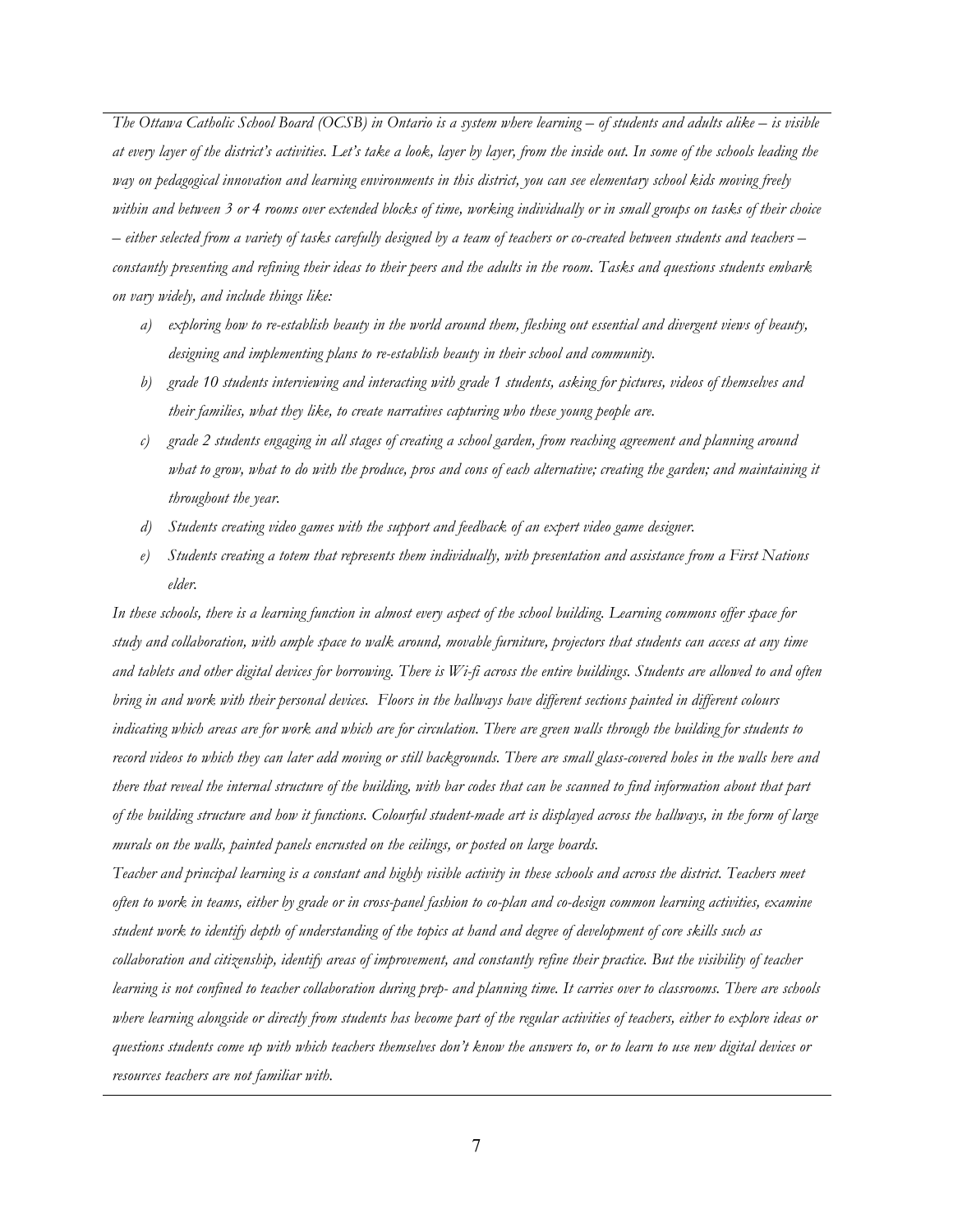*The Ottawa Catholic School Board (OCSB) in Ontario is a system where learning – of students and adults alike – is visible at every layer of the district's activities. Let's take a look, layer by layer, from the inside out. In some of the schools leading the way on pedagogical innovation and learning environments in this district, you can see elementary school kids moving freely within and between 3 or 4 rooms over extended blocks of time, working individually or in small groups on tasks of their choice – either selected from a variety of tasks carefully designed by a team of teachers or co-created between students and teachers – constantly presenting and refining their ideas to their peers and the adults in the room. Tasks and questions students embark on vary widely, and include things like:* 

- *a) exploring how to re-establish beauty in the world around them, fleshing out essential and divergent views of beauty, designing and implementing plans to re-establish beauty in their school and community.*
- *b) grade 10 students interviewing and interacting with grade 1 students, asking for pictures, videos of themselves and their families, what they like, to create narratives capturing who these young people are.*
- *c) grade 2 students engaging in all stages of creating a school garden, from reaching agreement and planning around what to grow, what to do with the produce, pros and cons of each alternative; creating the garden; and maintaining it throughout the year.*
- *d) Students creating video games with the support and feedback of an expert video game designer.*
- *e) Students creating a totem that represents them individually, with presentation and assistance from a First Nations elder.*

*In these schools, there is a learning function in almost every aspect of the school building. Learning commons offer space for study and collaboration, with ample space to walk around, movable furniture, projectors that students can access at any time and tablets and other digital devices for borrowing. There is Wi-fi across the entire buildings. Students are allowed to and often bring in and work with their personal devices. Floors in the hallways have different sections painted in different colours indicating which areas are for work and which are for circulation. There are green walls through the building for students to record videos to which they can later add moving or still backgrounds. There are small glass-covered holes in the walls here and there that reveal the internal structure of the building, with bar codes that can be scanned to find information about that part of the building structure and how it functions. Colourful student-made art is displayed across the hallways, in the form of large murals on the walls, painted panels encrusted on the ceilings, or posted on large boards.* 

*Teacher and principal learning is a constant and highly visible activity in these schools and across the district. Teachers meet often to work in teams, either by grade or in cross-panel fashion to co-plan and co-design common learning activities, examine student work to identify depth of understanding of the topics at hand and degree of development of core skills such as collaboration and citizenship, identify areas of improvement, and constantly refine their practice. But the visibility of teacher learning is not confined to teacher collaboration during prep- and planning time. It carries over to classrooms. There are schools where learning alongside or directly from students has become part of the regular activities of teachers, either to explore ideas or questions students come up with which teachers themselves don't know the answers to, or to learn to use new digital devices or resources teachers are not familiar with.*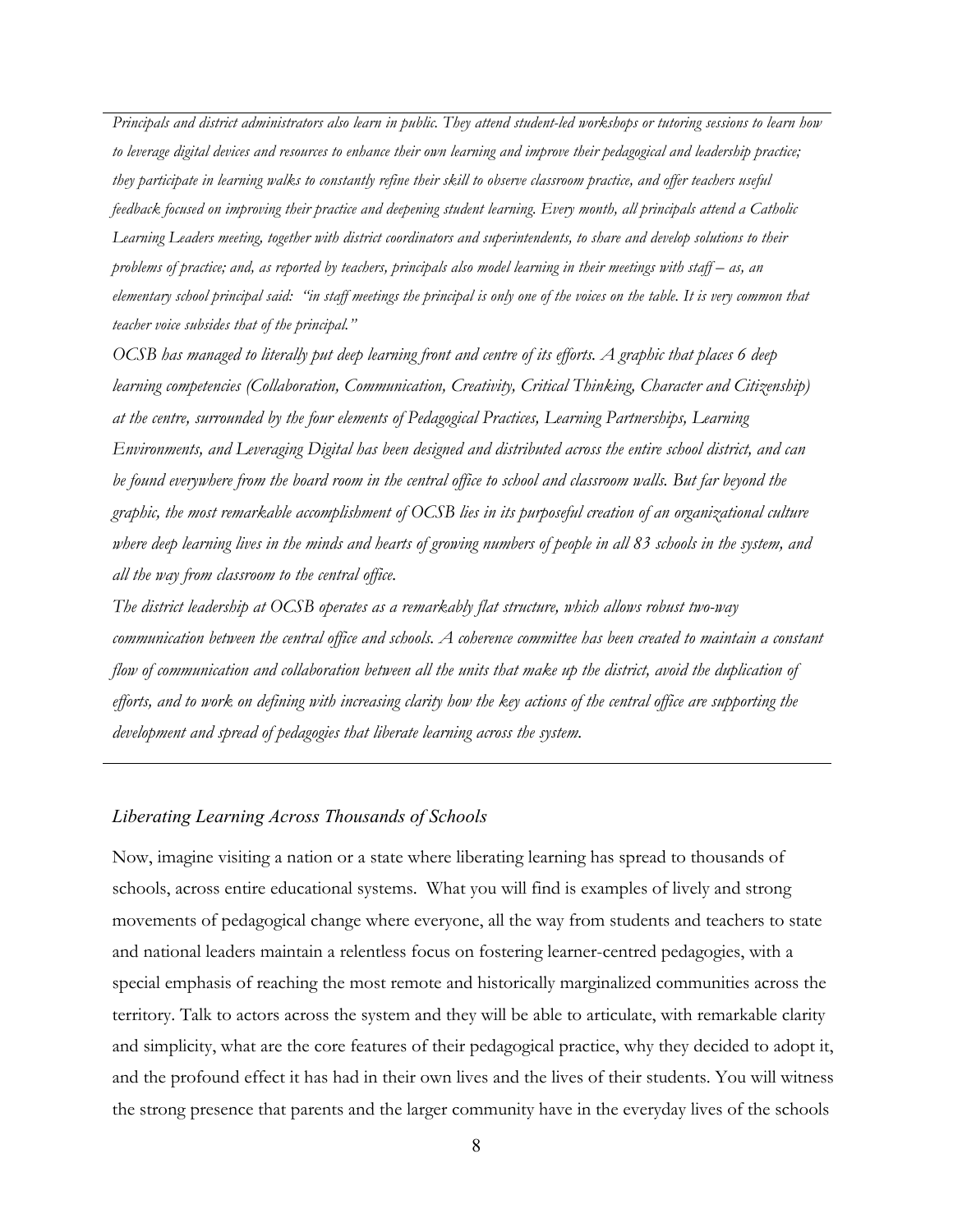*Principals and district administrators also learn in public. They attend student-led workshops or tutoring sessions to learn how to leverage digital devices and resources to enhance their own learning and improve their pedagogical and leadership practice; they participate in learning walks to constantly refine their skill to observe classroom practice, and offer teachers useful feedback focused on improving their practice and deepening student learning. Every month, all principals attend a Catholic Learning Leaders meeting, together with district coordinators and superintendents, to share and develop solutions to their problems of practice; and, as reported by teachers, principals also model learning in their meetings with staff – as, an elementary school principal said: "in staff meetings the principal is only one of the voices on the table. It is very common that teacher voice subsides that of the principal."*

*OCSB has managed to literally put deep learning front and centre of its efforts. A graphic that places 6 deep learning competencies (Collaboration, Communication, Creativity, Critical Thinking, Character and Citizenship*) *at the centre, surrounded by the four elements of Pedagogical Practices, Learning Partnerships, Learning Environments, and Leveraging Digital has been designed and distributed across the entire school district, and can be found everywhere from the board room in the central office to school and classroom walls. But far beyond the graphic, the most remarkable accomplishment of OCSB lies in its purposeful creation of an organizational culture where deep learning lives in the minds and hearts of growing numbers of people in all 83 schools in the system, and all the way from classroom to the central office.*

*The district leadership at OCSB operates as a remarkably flat structure, which allows robust two-way communication between the central office and schools. A coherence committee has been created to maintain a constant flow of communication and collaboration between all the units that make up the district, avoid the duplication of efforts, and to work on defining with increasing clarity how the key actions of the central office are supporting the development and spread of pedagogies that liberate learning across the system.* 

#### *Liberating Learning Across Thousands of Schools*

Now, imagine visiting a nation or a state where liberating learning has spread to thousands of schools, across entire educational systems. What you will find is examples of lively and strong movements of pedagogical change where everyone, all the way from students and teachers to state and national leaders maintain a relentless focus on fostering learner-centred pedagogies, with a special emphasis of reaching the most remote and historically marginalized communities across the territory. Talk to actors across the system and they will be able to articulate, with remarkable clarity and simplicity, what are the core features of their pedagogical practice, why they decided to adopt it, and the profound effect it has had in their own lives and the lives of their students. You will witness the strong presence that parents and the larger community have in the everyday lives of the schools